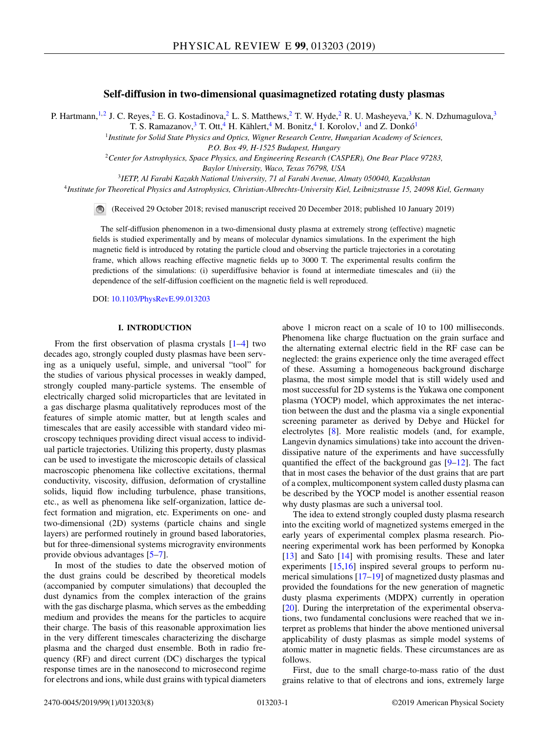# **Self-diffusion in two-dimensional quasimagnetized rotating dusty plasmas**

P. Hartmann,<sup>1,2</sup> J. C. Reyes,<sup>2</sup> E. G. Kostadinova,<sup>2</sup> L. S. Matthews,<sup>2</sup> T. W. Hyde,<sup>2</sup> R. U. Masheyeva,<sup>3</sup> K. N. Dzhumagulova,<sup>3</sup>

T. S. Ramazanov,  $3$  T. Ott,  $4$  H. Kählert,  $4$  M. Bonitz,  $4$  I. Korolov,  $1$  and Z. Donkó<sup>1</sup>

<sup>1</sup>*Institute for Solid State Physics and Optics, Wigner Research Centre, Hungarian Academy of Sciences,*

*P.O. Box 49, H-1525 Budapest, Hungary*

<sup>2</sup>*Center for Astrophysics, Space Physics, and Engineering Research (CASPER), One Bear Place 97283,*

*Baylor University, Waco, Texas 76798, USA*

<sup>3</sup>*IETP, Al Farabi Kazakh National University, 71 al Farabi Avenue, Almaty 050040, Kazakhstan*

<sup>4</sup>*Institute for Theoretical Physics and Astrophysics, Christian-Albrechts-University Kiel, Leibnizstrasse 15, 24098 Kiel, Germany*

(Received 29 October 2018; revised manuscript received 20 December 2018; published 10 January 2019)

The self-diffusion phenomenon in a two-dimensional dusty plasma at extremely strong (effective) magnetic fields is studied experimentally and by means of molecular dynamics simulations. In the experiment the high magnetic field is introduced by rotating the particle cloud and observing the particle trajectories in a corotating frame, which allows reaching effective magnetic fields up to 3000 T. The experimental results confirm the predictions of the simulations: (i) superdiffusive behavior is found at intermediate timescales and (ii) the dependence of the self-diffusion coefficient on the magnetic field is well reproduced.

DOI: [10.1103/PhysRevE.99.013203](https://doi.org/10.1103/PhysRevE.99.013203)

# **I. INTRODUCTION**

From the first observation of plasma crystals [\[1–4\]](#page-7-0) two decades ago, strongly coupled dusty plasmas have been serving as a uniquely useful, simple, and universal "tool" for the studies of various physical processes in weakly damped, strongly coupled many-particle systems. The ensemble of electrically charged solid microparticles that are levitated in a gas discharge plasma qualitatively reproduces most of the features of simple atomic matter, but at length scales and timescales that are easily accessible with standard video microscopy techniques providing direct visual access to individual particle trajectories. Utilizing this property, dusty plasmas can be used to investigate the microscopic details of classical macroscopic phenomena like collective excitations, thermal conductivity, viscosity, diffusion, deformation of crystalline solids, liquid flow including turbulence, phase transitions, etc., as well as phenomena like self-organization, lattice defect formation and migration, etc. Experiments on one- and two-dimensional (2D) systems (particle chains and single layers) are performed routinely in ground based laboratories, but for three-dimensional systems microgravity environments provide obvious advantages [\[5–7\]](#page-7-0).

In most of the studies to date the observed motion of the dust grains could be described by theoretical models (accompanied by computer simulations) that decoupled the dust dynamics from the complex interaction of the grains with the gas discharge plasma, which serves as the embedding medium and provides the means for the particles to acquire their charge. The basis of this reasonable approximation lies in the very different timescales characterizing the discharge plasma and the charged dust ensemble. Both in radio frequency (RF) and direct current (DC) discharges the typical response times are in the nanosecond to microsecond regime for electrons and ions, while dust grains with typical diameters

above 1 micron react on a scale of 10 to 100 milliseconds. Phenomena like charge fluctuation on the grain surface and the alternating external electric field in the RF case can be neglected: the grains experience only the time averaged effect of these. Assuming a homogeneous background discharge plasma, the most simple model that is still widely used and most successful for 2D systems is the Yukawa one component plasma (YOCP) model, which approximates the net interaction between the dust and the plasma via a single exponential screening parameter as derived by Debye and Hückel for electrolytes [\[8\]](#page-7-0). More realistic models (and, for example, Langevin dynamics simulations) take into account the drivendissipative nature of the experiments and have successfully quantified the effect of the background gas [\[9–12\]](#page-7-0). The fact that in most cases the behavior of the dust grains that are part of a complex, multicomponent system called dusty plasma can be described by the YOCP model is another essential reason why dusty plasmas are such a universal tool.

The idea to extend strongly coupled dusty plasma research into the exciting world of magnetized systems emerged in the early years of experimental complex plasma research. Pioneering experimental work has been performed by Konopka [\[13\]](#page-7-0) and Sato [\[14\]](#page-7-0) with promising results. These and later experiments [\[15,16\]](#page-7-0) inspired several groups to perform nu-merical simulations [\[17–19\]](#page-7-0) of magnetized dusty plasmas and provided the foundations for the new generation of magnetic dusty plasma experiments (MDPX) currently in operation [\[20\]](#page-7-0). During the interpretation of the experimental observations, two fundamental conclusions were reached that we interpret as problems that hinder the above mentioned universal applicability of dusty plasmas as simple model systems of atomic matter in magnetic fields. These circumstances are as follows.

First, due to the small charge-to-mass ratio of the dust grains relative to that of electrons and ions, extremely large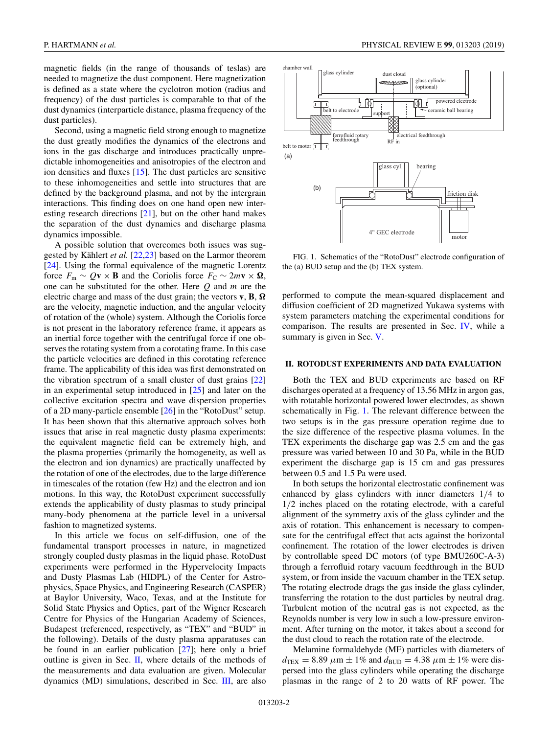<span id="page-1-0"></span>magnetic fields (in the range of thousands of teslas) are needed to magnetize the dust component. Here magnetization is defined as a state where the cyclotron motion (radius and frequency) of the dust particles is comparable to that of the dust dynamics (interparticle distance, plasma frequency of the dust particles).

Second, using a magnetic field strong enough to magnetize the dust greatly modifies the dynamics of the electrons and ions in the gas discharge and introduces practically unpredictable inhomogeneities and anisotropies of the electron and ion densities and fluxes [\[15\]](#page-7-0). The dust particles are sensitive to these inhomogeneities and settle into structures that are defined by the background plasma, and not by the intergrain interactions. This finding does on one hand open new interesting research directions [\[21\]](#page-7-0), but on the other hand makes the separation of the dust dynamics and discharge plasma dynamics impossible.

A possible solution that overcomes both issues was suggested by Kählert *et al.* [\[22,23\]](#page-7-0) based on the Larmor theorem [\[24\]](#page-7-0). Using the formal equivalence of the magnetic Lorentz force  $F_m \sim Qv \times B$  and the Coriolis force  $F_C \sim 2mv \times \Omega$ , one can be substituted for the other. Here *Q* and *m* are the electric charge and mass of the dust grain; the vectors  $v, B, \Omega$ are the velocity, magnetic induction, and the angular velocity of rotation of the (whole) system. Although the Coriolis force is not present in the laboratory reference frame, it appears as an inertial force together with the centrifugal force if one observes the rotating system from a corotating frame. In this case the particle velocities are defined in this corotating reference frame. The applicability of this idea was first demonstrated on the vibration spectrum of a small cluster of dust grains [\[22\]](#page-7-0) in an experimental setup introduced in [\[25\]](#page-7-0) and later on the collective excitation spectra and wave dispersion properties of a 2D many-particle ensemble [\[26\]](#page-7-0) in the "RotoDust" setup. It has been shown that this alternative approach solves both issues that arise in real magnetic dusty plasma experiments: the equivalent magnetic field can be extremely high, and the plasma properties (primarily the homogeneity, as well as the electron and ion dynamics) are practically unaffected by the rotation of one of the electrodes, due to the large difference in timescales of the rotation (few Hz) and the electron and ion motions. In this way, the RotoDust experiment successfully extends the applicability of dusty plasmas to study principal many-body phenomena at the particle level in a universal fashion to magnetized systems.

In this article we focus on self-diffusion, one of the fundamental transport processes in nature, in magnetized strongly coupled dusty plasmas in the liquid phase. RotoDust experiments were performed in the Hypervelocity Impacts and Dusty Plasmas Lab (HIDPL) of the Center for Astrophysics, Space Physics, and Engineering Research (CASPER) at Baylor University, Waco, Texas, and at the Institute for Solid State Physics and Optics, part of the Wigner Research Centre for Physics of the Hungarian Academy of Sciences, Budapest (referenced, respectively, as "TEX" and "BUD" in the following). Details of the dusty plasma apparatuses can be found in an earlier publication [\[27\]](#page-7-0); here only a brief outline is given in Sec.  $\Pi$ , where details of the methods of the measurements and data evaluation are given. Molecular dynamics (MD) simulations, described in Sec. [III,](#page-3-0) are also



FIG. 1. Schematics of the "RotoDust" electrode configuration of the (a) BUD setup and the (b) TEX system.

performed to compute the mean-squared displacement and diffusion coefficient of 2D magnetized Yukawa systems with system parameters matching the experimental conditions for comparison. The results are presented in Sec. [IV,](#page-4-0) while a summary is given in Sec. [V.](#page-6-0)

## **II. ROTODUST EXPERIMENTS AND DATA EVALUATION**

Both the TEX and BUD experiments are based on RF discharges operated at a frequency of 13.56 MHz in argon gas, with rotatable horizontal powered lower electrodes, as shown schematically in Fig. 1. The relevant difference between the two setups is in the gas pressure operation regime due to the size difference of the respective plasma volumes. In the TEX experiments the discharge gap was 2.5 cm and the gas pressure was varied between 10 and 30 Pa, while in the BUD experiment the discharge gap is 15 cm and gas pressures between 0.5 and 1.5 Pa were used.

In both setups the horizontal electrostatic confinement was enhanced by glass cylinders with inner diameters 1*/*4 to 1*/*2 inches placed on the rotating electrode, with a careful alignment of the symmetry axis of the glass cylinder and the axis of rotation. This enhancement is necessary to compensate for the centrifugal effect that acts against the horizontal confinement. The rotation of the lower electrodes is driven by controllable speed DC motors (of type BMU260C-A-3) through a ferrofluid rotary vacuum feedthrough in the BUD system, or from inside the vacuum chamber in the TEX setup. The rotating electrode drags the gas inside the glass cylinder, transferring the rotation to the dust particles by neutral drag. Turbulent motion of the neutral gas is not expected, as the Reynolds number is very low in such a low-pressure environment. After turning on the motor, it takes about a second for the dust cloud to reach the rotation rate of the electrode.

Melamine formaldehyde (MF) particles with diameters of  $d_{\text{TEX}} = 8.89 \ \mu \text{m} \pm 1\% \text{ and } d_{\text{BUD}} = 4.38 \ \mu \text{m} \pm 1\% \text{ were dis-}$ persed into the glass cylinders while operating the discharge plasmas in the range of 2 to 20 watts of RF power. The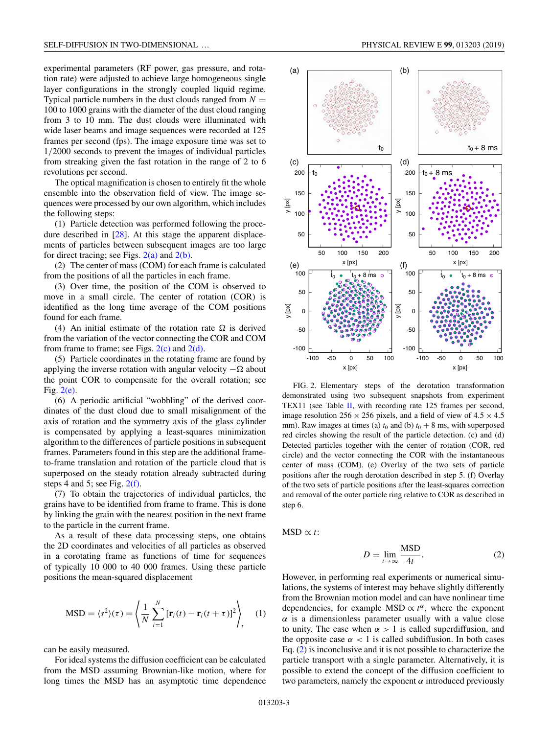<span id="page-2-0"></span>experimental parameters (RF power, gas pressure, and rotation rate) were adjusted to achieve large homogeneous single layer configurations in the strongly coupled liquid regime. Typical particle numbers in the dust clouds ranged from  $N =$ 100 to 1000 grains with the diameter of the dust cloud ranging from 3 to 10 mm. The dust clouds were illuminated with wide laser beams and image sequences were recorded at 125 frames per second (fps). The image exposure time was set to 1*/*2000 seconds to prevent the images of individual particles from streaking given the fast rotation in the range of 2 to 6 revolutions per second.

The optical magnification is chosen to entirely fit the whole ensemble into the observation field of view. The image sequences were processed by our own algorithm, which includes the following steps:

(1) Particle detection was performed following the procedure described in [\[28\]](#page-7-0). At this stage the apparent displacements of particles between subsequent images are too large for direct tracing; see Figs.  $2(a)$  and  $2(b)$ .

(2) The center of mass (COM) for each frame is calculated from the positions of all the particles in each frame.

(3) Over time, the position of the COM is observed to move in a small circle. The center of rotation (COR) is identified as the long time average of the COM positions found for each frame.

(4) An initial estimate of the rotation rate  $\Omega$  is derived from the variation of the vector connecting the COR and COM from frame to frame; see Figs.  $2(c)$  and  $2(d)$ .

(5) Particle coordinates in the rotating frame are found by applying the inverse rotation with angular velocity  $-\Omega$  about the point COR to compensate for the overall rotation; see Fig.  $2(e)$ .

(6) A periodic artificial "wobbling" of the derived coordinates of the dust cloud due to small misalignment of the axis of rotation and the symmetry axis of the glass cylinder is compensated by applying a least-squares minimization algorithm to the differences of particle positions in subsequent frames. Parameters found in this step are the additional frameto-frame translation and rotation of the particle cloud that is superposed on the steady rotation already subtracted during steps 4 and 5; see Fig.  $2(f)$ .

(7) To obtain the trajectories of individual particles, the grains have to be identified from frame to frame. This is done by linking the grain with the nearest position in the next frame to the particle in the current frame.

As a result of these data processing steps, one obtains the 2D coordinates and velocities of all particles as observed in a corotating frame as functions of time for sequences of typically 10 000 to 40 000 frames. Using these particle positions the mean-squared displacement

$$
\text{MSD} = \langle s^2 \rangle(\tau) = \left\langle \frac{1}{N} \sum_{i=1}^N \left[ \mathbf{r}_i(t) - \mathbf{r}_i(t + \tau) \right]^2 \right\rangle_t \tag{1}
$$

can be easily measured.

For ideal systems the diffusion coefficient can be calculated from the MSD assuming Brownian-like motion, where for long times the MSD has an asymptotic time dependence



FIG. 2. Elementary steps of the derotation transformation demonstrated using two subsequent snapshots from experiment TEX11 (see Table [II,](#page-4-0) with recording rate 125 frames per second, image resolution 256  $\times$  256 pixels, and a field of view of 4.5  $\times$  4.5 mm). Raw images at times (a)  $t_0$  and (b)  $t_0 + 8$  ms, with superposed red circles showing the result of the particle detection. (c) and (d) Detected particles together with the center of rotation (COR, red circle) and the vector connecting the COR with the instantaneous center of mass (COM). (e) Overlay of the two sets of particle positions after the rough derotation described in step 5. (f) Overlay of the two sets of particle positions after the least-squares correction and removal of the outer particle ring relative to COR as described in step 6.

 $MSD \propto t$ :

$$
D = \lim_{t \to \infty} \frac{\text{MSD}}{4t}.
$$
 (2)

However, in performing real experiments or numerical simulations, the systems of interest may behave slightly differently from the Brownian motion model and can have nonlinear time dependencies, for example MSD  $\propto t^{\alpha}$ , where the exponent *α* is a dimensionless parameter usually with a value close to unity. The case when  $\alpha > 1$  is called superdiffusion, and the opposite case  $\alpha$  < 1 is called subdiffusion. In both cases Eq. (2) is inconclusive and it is not possible to characterize the particle transport with a single parameter. Alternatively, it is possible to extend the concept of the diffusion coefficient to two parameters, namely the exponent  $\alpha$  introduced previously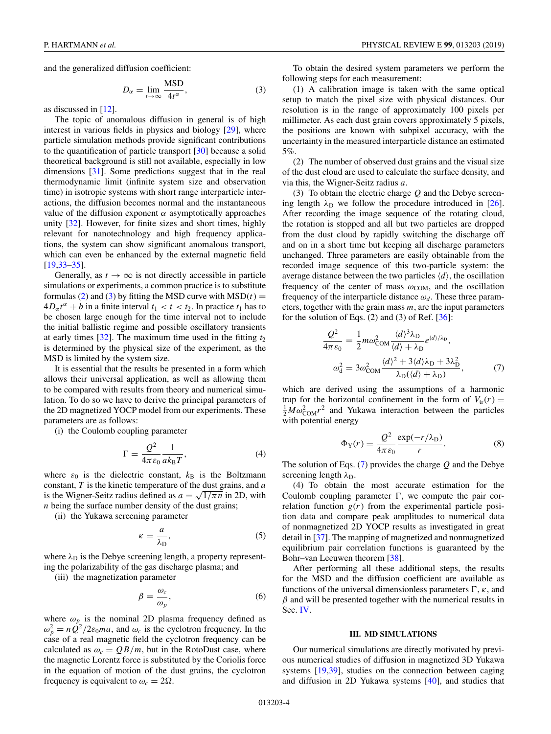<span id="page-3-0"></span>and the generalized diffusion coefficient:

$$
D_{\alpha} = \lim_{t \to \infty} \frac{\text{MSD}}{4t^{\alpha}},\tag{3}
$$

as discussed in [\[12\]](#page-7-0).

The topic of anomalous diffusion in general is of high interest in various fields in physics and biology [\[29\]](#page-7-0), where particle simulation methods provide significant contributions to the quantification of particle transport [\[30\]](#page-7-0) because a solid theoretical background is still not available, especially in low dimensions [\[31\]](#page-7-0). Some predictions suggest that in the real thermodynamic limit (infinite system size and observation time) in isotropic systems with short range interparticle interactions, the diffusion becomes normal and the instantaneous value of the diffusion exponent  $\alpha$  asymptotically approaches unity [\[32\]](#page-7-0). However, for finite sizes and short times, highly relevant for nanotechnology and high frequency applications, the system can show significant anomalous transport, which can even be enhanced by the external magnetic field [\[19,33–35\]](#page-7-0).

Generally, as  $t \to \infty$  is not directly accessible in particle simulations or experiments, a common practice is to substitute formulas [\(2\)](#page-2-0) and (3) by fitting the MSD curve with  $MSD(t) =$  $4D_{\alpha}t^{\alpha} + b$  in a finite interval  $t_1 < t < t_2$ . In practice  $t_1$  has to be chosen large enough for the time interval not to include the initial ballistic regime and possible oscillatory transients at early times  $[32]$ . The maximum time used in the fitting  $t_2$ is determined by the physical size of the experiment, as the MSD is limited by the system size.

It is essential that the results be presented in a form which allows their universal application, as well as allowing them to be compared with results from theory and numerical simulation. To do so we have to derive the principal parameters of the 2D magnetized YOCP model from our experiments. These parameters are as follows:

(i) the Coulomb coupling parameter

$$
\Gamma = \frac{Q^2}{4\pi\varepsilon_0} \frac{1}{ak_{\rm B}T},\tag{4}
$$

where  $\varepsilon_0$  is the dielectric constant,  $k_B$  is the Boltzmann constant, *T* is the kinetic temperature of the dust grains, and *a* is the Wigner-Seitz radius defined as  $a = \sqrt{1/\pi n}$  in 2D, with *n* being the surface number density of the dust grains;

(ii) the Yukawa screening parameter

$$
\kappa = \frac{a}{\lambda_{\rm D}},\tag{5}
$$

where  $\lambda_D$  is the Debye screening length, a property representing the polarizability of the gas discharge plasma; and

(iii) the magnetization parameter

$$
\beta = \frac{\omega_c}{\omega_p},\tag{6}
$$

where  $\omega_p$  is the nominal 2D plasma frequency defined as  $\omega_p^2 = nQ^2/2\varepsilon_0 ma$ , and  $\omega_c$  is the cyclotron frequency. In the case of a real magnetic field the cyclotron frequency can be calculated as  $\omega_c = QB/m$ , but in the RotoDust case, where the magnetic Lorentz force is substituted by the Coriolis force in the equation of motion of the dust grains, the cyclotron frequency is equivalent to  $\omega_c = 2\Omega$ .

To obtain the desired system parameters we perform the following steps for each measurement:

(1) A calibration image is taken with the same optical setup to match the pixel size with physical distances. Our resolution is in the range of approximately 100 pixels per millimeter. As each dust grain covers approximately 5 pixels, the positions are known with subpixel accuracy, with the uncertainty in the measured interparticle distance an estimated 5%.

(2) The number of observed dust grains and the visual size of the dust cloud are used to calculate the surface density, and via this, the Wigner-Seitz radius *a*.

(3) To obtain the electric charge *Q* and the Debye screening length  $\lambda_D$  we follow the procedure introduced in [\[26\]](#page-7-0). After recording the image sequence of the rotating cloud, the rotation is stopped and all but two particles are dropped from the dust cloud by rapidly switching the discharge off and on in a short time but keeping all discharge parameters unchanged. Three parameters are easily obtainable from the recorded image sequence of this two-particle system: the average distance between the two particles  $\langle d \rangle$ , the oscillation frequency of the center of mass  $\omega_{COM}$ , and the oscillation frequency of the interparticle distance  $\omega_d$ . These three parameters, together with the grain mass *m*, are the input parameters for the solution of Eqs.  $(2)$  and  $(3)$  of Ref.  $[36]$ :

$$
\frac{Q^2}{4\pi\epsilon_0} = \frac{1}{2}m\omega_{COM}^2 \frac{\langle d\rangle^3 \lambda_D}{\langle d\rangle + \lambda_D} e^{\langle d\rangle/\lambda_D},
$$

$$
\omega_d^2 = 3\omega_{COM}^2 \frac{\langle d\rangle^2 + 3\langle d\rangle \lambda_D + 3\lambda_D^2}{\lambda_D(\langle d\rangle + \lambda_D)},
$$
(7)

which are derived using the assumptions of a harmonic trap for the horizontal confinement in the form of  $V_{tr}(r) =$  $\frac{1}{2}M\omega_{COM}^2 r^2$  and Yukawa interaction between the particles with potential energy

$$
\Phi_{\mathbf{Y}}(r) = \frac{Q^2}{4\pi\varepsilon_0} \frac{\exp(-r/\lambda_{\mathbf{D}})}{r}.
$$
 (8)

The solution of Eqs. (7) provides the charge *Q* and the Debye screening length  $λ_D$ .

(4) To obtain the most accurate estimation for the Coulomb coupling parameter  $\Gamma$ , we compute the pair correlation function  $g(r)$  from the experimental particle position data and compare peak amplitudes to numerical data of nonmagnetized 2D YOCP results as investigated in great detail in [\[37\]](#page-7-0). The mapping of magnetized and nonmagnetized equilibrium pair correlation functions is guaranteed by the Bohr–van Leeuwen theorem [\[38\]](#page-7-0).

After performing all these additional steps, the results for the MSD and the diffusion coefficient are available as functions of the universal dimensionless parameters  $\Gamma$ ,  $\kappa$ , and  $\beta$  and will be presented together with the numerical results in Sec. [IV.](#page-4-0)

#### **III. MD SIMULATIONS**

Our numerical simulations are directly motivated by previous numerical studies of diffusion in magnetized 3D Yukawa systems [\[19,39\]](#page-7-0), studies on the connection between caging and diffusion in 2D Yukawa systems [\[40\]](#page-7-0), and studies that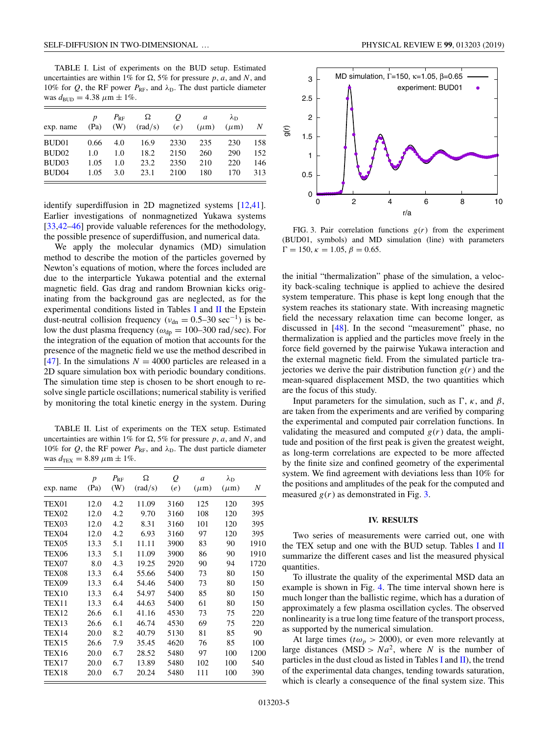<span id="page-4-0"></span>TABLE I. List of experiments on the BUD setup. Estimated uncertainties are within 1% for  $\Omega$ , 5% for pressure p, a, and N, and 10% for  $Q$ , the RF power  $P_{\text{RF}}$ , and  $\lambda_{\text{D}}$ . The dust particle diameter was  $d_{\text{BUD}} = 4.38 \ \mu \text{m} \pm 1\%$ .

| exp. name         | (Pa) | $P_{\rm RF}$<br>(W) | Ω<br>$\left(\frac{rad}{s}\right)$ | Q.<br>(e) | a<br>$(\mu m)$ | $\lambda_{\rm D}$<br>$(\mu m)$ | N   |
|-------------------|------|---------------------|-----------------------------------|-----------|----------------|--------------------------------|-----|
| BUD <sub>01</sub> | 0.66 | 4.0                 | 16.9                              | 2330      | 235            | 230                            | 158 |
| BUD <sub>02</sub> | 1.0  | 1.0                 | 18.2                              | 2150      | 260            | 290                            | 152 |
| BUD <sub>03</sub> | 1.05 | 1.0                 | 23.2                              | 2350      | 210            | 220                            | 146 |
| BUD <sub>04</sub> | 1.05 | 3.0                 | 23.1                              | 2100      | 180            | 170                            | 313 |

identify superdiffusion in 2D magnetized systems [\[12,41\]](#page-7-0). Earlier investigations of nonmagnetized Yukawa systems [\[33,42–46\]](#page-7-0) provide valuable references for the methodology, the possible presence of superdiffusion, and numerical data.

We apply the molecular dynamics (MD) simulation method to describe the motion of the particles governed by Newton's equations of motion, where the forces included are due to the interparticle Yukawa potential and the external magnetic field. Gas drag and random Brownian kicks originating from the background gas are neglected, as for the experimental conditions listed in Tables I and II the Epstein dust-neutral collision frequency ( $v_{dn} = 0.5-30 \text{ sec}^{-1}$ ) is below the dust plasma frequency ( $\omega_{dp} = 100-300$  rad/sec). For the integration of the equation of motion that accounts for the presence of the magnetic field we use the method described in [\[47\]](#page-7-0). In the simulations  $N = 4000$  particles are released in a 2D square simulation box with periodic boundary conditions. The simulation time step is chosen to be short enough to resolve single particle oscillations; numerical stability is verified by monitoring the total kinetic energy in the system. During

TABLE II. List of experiments on the TEX setup. Estimated uncertainties are within 1% for  $\Omega$ , 5% for pressure p, a, and N, and 10% for *Q*, the RF power  $P_{RF}$ , and  $\lambda_D$ . The dust particle diameter  $\text{was } d_{\text{TEX}} = 8.89 \ \mu \text{m} \pm 1\%.$ 

| exp. name         | $\boldsymbol{p}$<br>(Pa) | $P_\mathrm{RF}$<br>(W) | Ω<br>$\left(\frac{rad}{s}\right)$ | Q<br>(e) | a<br>$(\mu m)$ | $\lambda_{\rm D}$<br>$(\mu m)$ | N    |
|-------------------|--------------------------|------------------------|-----------------------------------|----------|----------------|--------------------------------|------|
| TEX01             | 12.0                     | 4.2                    | 11.09                             | 3160     | 125            | 120                            | 395  |
| TEX <sub>02</sub> | 12.0                     | 4.2                    | 9.70                              | 3160     | 108            | 120                            | 395  |
| TEX03             | 12.0                     | 4.2                    | 8.31                              | 3160     | 101            | 120                            | 395  |
| TEX04             | 12.0                     | 4.2                    | 6.93                              | 3160     | 97             | 120                            | 395  |
| TEX <sub>05</sub> | 13.3                     | 5.1                    | 11.11                             | 3900     | 83             | 90                             | 1910 |
| TEX <sub>06</sub> | 13.3                     | 5.1                    | 11.09                             | 3900     | 86             | 90                             | 1910 |
| TEX07             | 8.0                      | 4.3                    | 19.25                             | 2920     | 90             | 94                             | 1720 |
| TEX08             | 13.3                     | 6.4                    | 55.66                             | 5400     | 73             | 80                             | 150  |
| TEX09             | 13.3                     | 6.4                    | 54.46                             | 5400     | 73             | 80                             | 150  |
| TEX10             | 13.3                     | 6.4                    | 54.97                             | 5400     | 85             | 80                             | 150  |
| TEX11             | 13.3                     | 6.4                    | 44.63                             | 5400     | 61             | 80                             | 150  |
| <b>TEX12</b>      | 26.6                     | 6.1                    | 41.16                             | 4530     | 73             | 75                             | 220  |
| TEX13             | 26.6                     | 6.1                    | 46.74                             | 4530     | 69             | 75                             | 220  |
| TEX14             | 20.0                     | 8.2                    | 40.79                             | 5130     | 81             | 85                             | 90   |
| TEX15             | 26.6                     | 7.9                    | 35.45                             | 4620     | 76             | 85                             | 100  |
| TEX16             | 20.0                     | 6.7                    | 28.52                             | 5480     | 97             | 100                            | 1200 |
| TEX17             | 20.0                     | 6.7                    | 13.89                             | 5480     | 102            | 100                            | 540  |
| TEX18             | 20.0                     | 6.7                    | 20.24                             | 5480     | 111            | 100                            | 390  |



FIG. 3. Pair correlation functions  $g(r)$  from the experiment (BUD01, symbols) and MD simulation (line) with parameters  $\Gamma = 150, \kappa = 1.05, \beta = 0.65.$ 

the initial "thermalization" phase of the simulation, a velocity back-scaling technique is applied to achieve the desired system temperature. This phase is kept long enough that the system reaches its stationary state. With increasing magnetic field the necessary relaxation time can become longer, as discussed in [\[48\]](#page-7-0). In the second "measurement" phase, no thermalization is applied and the particles move freely in the force field governed by the pairwise Yukawa interaction and the external magnetic field. From the simulated particle trajectories we derive the pair distribution function  $g(r)$  and the mean-squared displacement MSD, the two quantities which are the focus of this study.

Input parameters for the simulation, such as  $\Gamma$ , *κ*, and *β*, are taken from the experiments and are verified by comparing the experimental and computed pair correlation functions. In validating the measured and computed  $g(r)$  data, the amplitude and position of the first peak is given the greatest weight, as long-term correlations are expected to be more affected by the finite size and confined geometry of the experimental system. We find agreement with deviations less than 10% for the positions and amplitudes of the peak for the computed and measured  $g(r)$  as demonstrated in Fig. 3.

### **IV. RESULTS**

Two series of measurements were carried out, one with the TEX setup and one with the BUD setup. Tables I and II summarize the different cases and list the measured physical quantities.

To illustrate the quality of the experimental MSD data an example is shown in Fig. [4.](#page-5-0) The time interval shown here is much longer than the ballistic regime, which has a duration of approximately a few plasma oscillation cycles. The observed nonlinearity is a true long time feature of the transport process, as supported by the numerical simulation.

At large times ( $t\omega_p > 2000$ ), or even more relevantly at large distances (MSD  $> Na^2$ , where *N* is the number of particles in the dust cloud as listed in Tables I and  $\mathbf{II}$ ), the trend of the experimental data changes, tending towards saturation, which is clearly a consequence of the final system size. This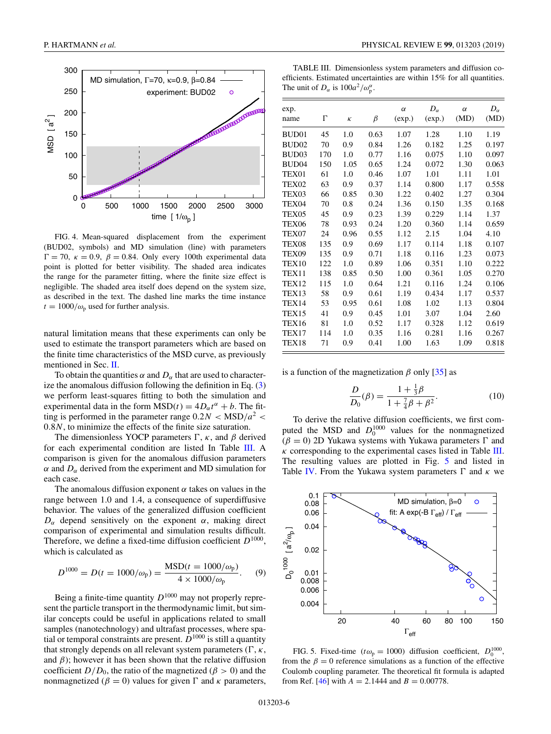<span id="page-5-0"></span>

FIG. 4. Mean-squared displacement from the experiment (BUD02, symbols) and MD simulation (line) with parameters  $\Gamma = 70$ ,  $\kappa = 0.9$ ,  $\beta = 0.84$ . Only every 100th experimental data point is plotted for better visibility. The shaded area indicates the range for the parameter fitting, where the finite size effect is negligible. The shaded area itself does depend on the system size, as described in the text. The dashed line marks the time instance  $t = 1000/\omega_{\rm p}$  used for further analysis.

natural limitation means that these experiments can only be used to estimate the transport parameters which are based on the finite time characteristics of the MSD curve, as previously mentioned in Sec. [II.](#page-1-0)

To obtain the quantities  $\alpha$  and  $D_{\alpha}$  that are used to characterize the anomalous diffusion following the definition in Eq.  $(3)$ we perform least-squares fitting to both the simulation and experimental data in the form  $MSD(t) = 4D_{\alpha}t^{\alpha} + b$ . The fitting is performed in the parameter range  $0.2N < \text{MSD}/a^2 <$ 0*.*8*N*, to minimize the effects of the finite size saturation.

The dimensionless YOCP parameters  $\Gamma$ ,  $\kappa$ , and  $\beta$  derived for each experimental condition are listed In Table III. A comparison is given for the anomalous diffusion parameters  $\alpha$  and  $D_{\alpha}$  derived from the experiment and MD simulation for each case.

The anomalous diffusion exponent *α* takes on values in the range between 1.0 and 1.4, a consequence of superdiffusive behavior. The values of the generalized diffusion coefficient *D<sub>α</sub>* depend sensitively on the exponent *α*, making direct comparison of experimental and simulation results difficult. Therefore, we define a fixed-time diffusion coefficient *D*1000, which is calculated as

$$
D^{1000} = D(t = 1000/\omega_{\rm p}) = \frac{\text{MSD}(t = 1000/\omega_{\rm p})}{4 \times 1000/\omega_{\rm p}}.
$$
 (9)

Being a finite-time quantity  $D^{1000}$  may not properly represent the particle transport in the thermodynamic limit, but similar concepts could be useful in applications related to small samples (nanotechnology) and ultrafast processes, where spatial or temporal constraints are present.  $D^{1000}$  is still a quantity that strongly depends on all relevant system parameters  $(\Gamma, \kappa, \mathcal{E})$ and  $\beta$ ); however it has been shown that the relative diffusion coefficient  $D/D_0$ , the ratio of the magnetized ( $\beta > 0$ ) and the nonmagnetized ( $\beta = 0$ ) values for given  $\Gamma$  and  $\kappa$  parameters,

TABLE III. Dimensionless system parameters and diffusion coefficients. Estimated uncertainties are within 15% for all quantities. The unit of  $D_{\alpha}$  is  $100a^2/\omega_p^{\alpha}$ .

| exp.<br>name      | Г   | $\kappa$ | $\beta$ | $\alpha$<br>(exp.) | $D_{\alpha}$<br>(exp.) | $\alpha$<br>(MD) | $D_{\alpha}$<br>(MD) |
|-------------------|-----|----------|---------|--------------------|------------------------|------------------|----------------------|
| BUD01             | 45  | 1.0      | 0.63    | 1.07               | 1.28                   | 1.10             | 1.19                 |
| BUD <sub>02</sub> | 70  | 0.9      | 0.84    | 1.26               | 0.182                  | 1.25             | 0.197                |
| BUD <sub>03</sub> | 170 | 1.0      | 0.77    | 1.16               | 0.075                  | 1.10             | 0.097                |
| BUD <sub>04</sub> | 150 | 1.05     | 0.65    | 1.24               | 0.072                  | 1.30             | 0.063                |
| TEX <sub>01</sub> | 61  | 1.0      | 0.46    | 1.07               | 1.01                   | 1.11             | 1.01                 |
| TEX <sub>02</sub> | 63  | 0.9      | 0.37    | 1.14               | 0.800                  | 1.17             | 0.558                |
| TEX <sub>03</sub> | 66  | 0.85     | 0.30    | 1.22               | 0.402                  | 1.27             | 0.304                |
| TEX <sub>04</sub> | 70  | 0.8      | 0.24    | 1.36               | 0.150                  | 1.35             | 0.168                |
| TEX <sub>05</sub> | 45  | 0.9      | 0.23    | 1.39               | 0.229                  | 1.14             | 1.37                 |
| TEX <sub>06</sub> | 78  | 0.93     | 0.24    | 1.20               | 0.360                  | 1.14             | 0.659                |
| TEX07             | 24  | 0.96     | 0.55    | 1.12               | 2.15                   | 1.04             | 4.10                 |
| TEX <sub>08</sub> | 135 | 0.9      | 0.69    | 1.17               | 0.114                  | 1.18             | 0.107                |
| TEX <sub>09</sub> | 135 | 0.9      | 0.71    | 1.18               | 0.116                  | 1.23             | 0.073                |
| TEX <sub>10</sub> | 122 | 1.0      | 0.89    | 1.06               | 0.351                  | 1.10             | 0.222                |
| TEX11             | 138 | 0.85     | 0.50    | 1.00               | 0.361                  | 1.05             | 0.270                |
| TEX <sub>12</sub> | 115 | 1.0      | 0.64    | 1.21               | 0.116                  | 1.24             | 0.106                |
| TEX13             | 58  | 0.9      | 0.61    | 1.19               | 0.434                  | 1.17             | 0.537                |
| TEX14             | 53  | 0.95     | 0.61    | 1.08               | 1.02                   | 1.13             | 0.804                |
| <b>TEX15</b>      | 41  | 0.9      | 0.45    | 1.01               | 3.07                   | 1.04             | 2.60                 |
| <b>TEX16</b>      | 81  | 1.0      | 0.52    | 1.17               | 0.328                  | 1.12             | 0.619                |
| TEX17             | 114 | 1.0      | 0.35    | 1.16               | 0.281                  | 1.16             | 0.267                |
| TEX18             | 71  | 0.9      | 0.41    | 1.00               | 1.63                   | 1.09             | 0.818                |

is a function of the magnetization  $\beta$  only [\[35\]](#page-7-0) as

$$
\frac{D}{D_0}(\beta) = \frac{1 + \frac{1}{3}\beta}{1 + \frac{7}{4}\beta + \beta^2}.
$$
 (10)

To derive the relative diffusion coefficients, we first computed the MSD and  $D_0^{1000}$  values for the nonmagnetized  $(\beta = 0)$  2D Yukawa systems with Yukawa parameters  $\Gamma$  and *κ* corresponding to the experimental cases listed in Table III. The resulting values are plotted in Fig. 5 and listed in Table [IV.](#page-6-0) From the Yukawa system parameters  $\Gamma$  and  $\kappa$  we



FIG. 5. Fixed-time  $(t\omega_p = 1000)$  diffusion coefficient,  $D_0^{1000}$ , from the  $\beta = 0$  reference simulations as a function of the effective Coulomb coupling parameter. The theoretical fit formula is adapted from Ref. [\[46\]](#page-7-0) with  $A = 2.1444$  and  $B = 0.00778$ .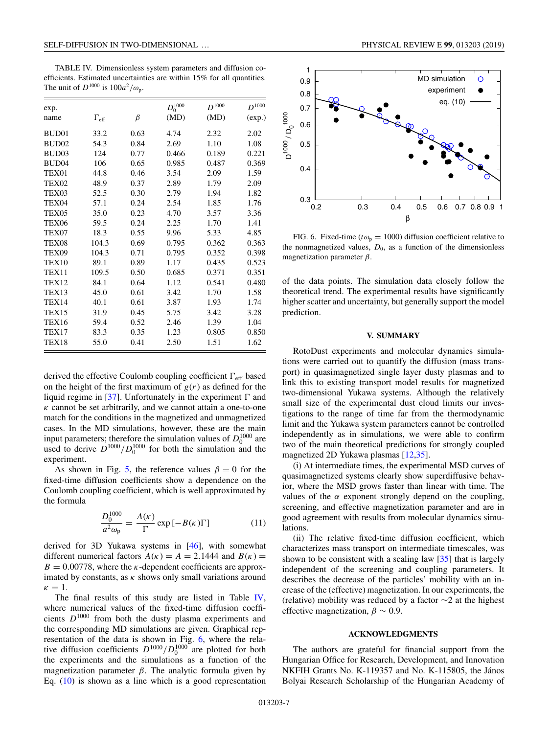<span id="page-6-0"></span>TABLE IV. Dimensionless system parameters and diffusion coefficients. Estimated uncertainties are within 15% for all quantities. The unit of  $D^{1000}$  is  $100a^2/\omega_p$ .

| exp.              |                    |      | $D_0^{1000}$ | $D^{1000}$ | $D^{1000}$ |
|-------------------|--------------------|------|--------------|------------|------------|
| name              | $\Gamma_{\rm eff}$ | β    | (MD)         | (MD)       | (exp.)     |
| BUD01             | 33.2               | 0.63 | 4.74         | 2.32       | 2.02       |
| BUD <sub>02</sub> | 54.3               | 0.84 | 2.69         | 1.10       | 1.08       |
| BUD <sub>03</sub> | 124                | 0.77 | 0.466        | 0.189      | 0.221      |
| BUD <sub>04</sub> | 106                | 0.65 | 0.985        | 0.487      | 0.369      |
| TEX01             | 44.8               | 0.46 | 3.54         | 2.09       | 1.59       |
| TEX <sub>02</sub> | 48.9               | 0.37 | 2.89         | 1.79       | 2.09       |
| TEX <sub>03</sub> | 52.5               | 0.30 | 2.79         | 1.94       | 1.82       |
| TEX <sub>04</sub> | 57.1               | 0.24 | 2.54         | 1.85       | 1.76       |
| TEX05             | 35.0               | 0.23 | 4.70         | 3.57       | 3.36       |
| TEX <sub>06</sub> | 59.5               | 0.24 | 2.25         | 1.70       | 1.41       |
| TEX07             | 18.3               | 0.55 | 9.96         | 5.33       | 4.85       |
| TEX08             | 104.3              | 0.69 | 0.795        | 0.362      | 0.363      |
| TEX09             | 104.3              | 0.71 | 0.795        | 0.352      | 0.398      |
| TEX <sub>10</sub> | 89.1               | 0.89 | 1.17         | 0.435      | 0.523      |
| TEX11             | 109.5              | 0.50 | 0.685        | 0.371      | 0.351      |
| TEX <sub>12</sub> | 84.1               | 0.64 | 1.12         | 0.541      | 0.480      |
| <b>TEX13</b>      | 45.0               | 0.61 | 3.42         | 1.70       | 1.58       |
| TEX14             | 40.1               | 0.61 | 3.87         | 1.93       | 1.74       |
| <b>TEX15</b>      | 31.9               | 0.45 | 5.75         | 3.42       | 3.28       |
| <b>TEX16</b>      | 59.4               | 0.52 | 2.46         | 1.39       | 1.04       |
| TEX <sub>17</sub> | 83.3               | 0.35 | 1.23         | 0.805      | 0.850      |
| TEX18             | 55.0               | 0.41 | 2.50         | 1.51       | 1.62       |

derived the effective Coulomb coupling coefficient  $\Gamma_{\text{eff}}$  based on the height of the first maximum of  $g(r)$  as defined for the liquid regime in [\[37\]](#page-7-0). Unfortunately in the experiment  $\Gamma$  and *κ* cannot be set arbitrarily, and we cannot attain a one-to-one match for the conditions in the magnetized and unmagnetized cases. In the MD simulations, however, these are the main input parameters; therefore the simulation values of  $D_0^{1000}$  are used to derive  $D^{1000}/D_0^{1000}$  for both the simulation and the experiment.

As shown in Fig. [5,](#page-5-0) the reference values  $\beta = 0$  for the fixed-time diffusion coefficients show a dependence on the Coulomb coupling coefficient, which is well approximated by the formula

$$
\frac{D_0^{1000}}{a^2 \omega_{\rm p}} = \frac{A(\kappa)}{\Gamma} \exp\left[-B(\kappa)\Gamma\right] \tag{11}
$$

derived for 3D Yukawa systems in [\[46\]](#page-7-0), with somewhat different numerical factors  $A(\kappa) = A = 2.1444$  and  $B(\kappa) =$  $B = 0.00778$ , where the *κ*-dependent coefficients are approximated by constants, as  $\kappa$  shows only small variations around  $\kappa = 1$ .

The final results of this study are listed in Table IV, where numerical values of the fixed-time diffusion coefficients  $D^{1000}$  from both the dusty plasma experiments and the corresponding MD simulations are given. Graphical representation of the data is shown in Fig. 6, where the relative diffusion coefficients  $D^{1000}/D_0^{1000}$  are plotted for both the experiments and the simulations as a function of the magnetization parameter  $β$ . The analytic formula given by Eq.  $(10)$  is shown as a line which is a good representation



FIG. 6. Fixed-time ( $t\omega_p = 1000$ ) diffusion coefficient relative to the nonmagnetized values,  $D_0$ , as a function of the dimensionless magnetization parameter *β*.

of the data points. The simulation data closely follow the theoretical trend. The experimental results have significantly higher scatter and uncertainty, but generally support the model prediction.

### **V. SUMMARY**

RotoDust experiments and molecular dynamics simulations were carried out to quantify the diffusion (mass transport) in quasimagnetized single layer dusty plasmas and to link this to existing transport model results for magnetized two-dimensional Yukawa systems. Although the relatively small size of the experimental dust cloud limits our investigations to the range of time far from the thermodynamic limit and the Yukawa system parameters cannot be controlled independently as in simulations, we were able to confirm two of the main theoretical predictions for strongly coupled magnetized 2D Yukawa plasmas [\[12,35\]](#page-7-0).

(i) At intermediate times, the experimental MSD curves of quasimagnetized systems clearly show superdiffusive behavior, where the MSD grows faster than linear with time. The values of the  $\alpha$  exponent strongly depend on the coupling, screening, and effective magnetization parameter and are in good agreement with results from molecular dynamics simulations.

(ii) The relative fixed-time diffusion coefficient, which characterizes mass transport on intermediate timescales, was shown to be consistent with a scaling law  $\lceil 35 \rceil$  that is largely independent of the screening and coupling parameters. It describes the decrease of the particles' mobility with an increase of the (effective) magnetization. In our experiments, the (relative) mobility was reduced by a factor  $\sim$ 2 at the highest effective magnetization,  $\beta \sim 0.9$ .

#### **ACKNOWLEDGMENTS**

The authors are grateful for financial support from the Hungarian Office for Research, Development, and Innovation NKFIH Grants No. K-119357 and No. K-115805, the János Bolyai Research Scholarship of the Hungarian Academy of